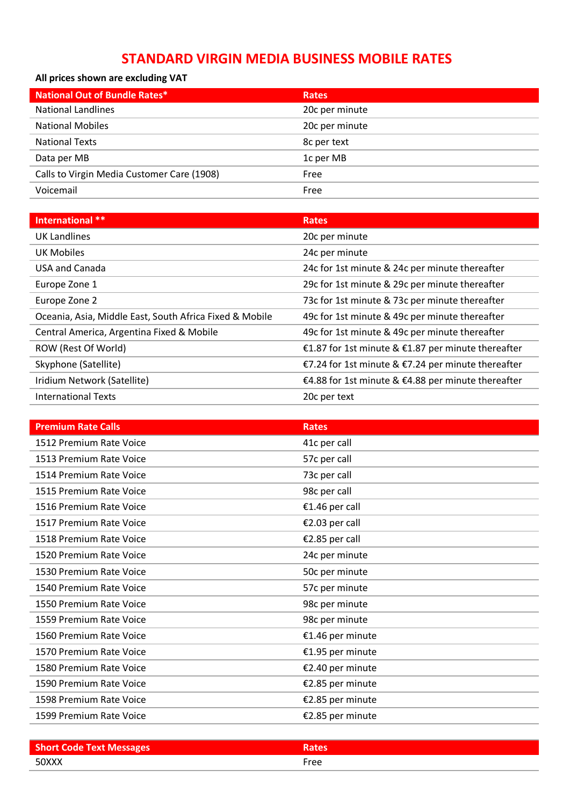## **STANDARD VIRGIN MEDIA BUSINESS MOBILE RATES**

### **All prices shown are excluding VAT**

| <b>National Out of Bundle Rates*</b>       | <b>Rates</b>   |
|--------------------------------------------|----------------|
| <b>National Landlines</b>                  | 20c per minute |
| <b>National Mobiles</b>                    | 20c per minute |
| <b>National Texts</b>                      | 8c per text    |
| Data per MB                                | 1c per MB      |
| Calls to Virgin Media Customer Care (1908) | Free           |
| Voicemail                                  | Free           |

| International **                                        | <b>Rates</b>                                       |
|---------------------------------------------------------|----------------------------------------------------|
| UK Landlines                                            | 20c per minute                                     |
| UK Mobiles                                              | 24c per minute                                     |
| USA and Canada                                          | 24c for 1st minute & 24c per minute thereafter     |
| Europe Zone 1                                           | 29c for 1st minute & 29c per minute thereafter     |
| Europe Zone 2                                           | 73c for 1st minute & 73c per minute thereafter     |
| Oceania, Asia, Middle East, South Africa Fixed & Mobile | 49c for 1st minute & 49c per minute thereafter     |
| Central America, Argentina Fixed & Mobile               | 49c for 1st minute & 49c per minute thereafter     |
| ROW (Rest Of World)                                     | €1.87 for 1st minute & €1.87 per minute thereafter |
| Skyphone (Satellite)                                    | €7.24 for 1st minute & €7.24 per minute thereafter |
| Iridium Network (Satellite)                             | €4.88 for 1st minute & €4.88 per minute thereafter |
| <b>International Texts</b>                              | 20c per text                                       |

| <b>Premium Rate Calls</b> | <b>Rates</b>     |
|---------------------------|------------------|
| 1512 Premium Rate Voice   | 41c per call     |
| 1513 Premium Rate Voice   | 57c per call     |
| 1514 Premium Rate Voice   | 73c per call     |
| 1515 Premium Rate Voice   | 98c per call     |
| 1516 Premium Rate Voice   | €1.46 per call   |
| 1517 Premium Rate Voice   | €2.03 per call   |
| 1518 Premium Rate Voice   | €2.85 per call   |
| 1520 Premium Rate Voice   | 24c per minute   |
| 1530 Premium Rate Voice   | 50c per minute   |
| 1540 Premium Rate Voice   | 57c per minute   |
| 1550 Premium Rate Voice   | 98c per minute   |
| 1559 Premium Rate Voice   | 98c per minute   |
| 1560 Premium Rate Voice   | €1.46 per minute |
| 1570 Premium Rate Voice   | €1.95 per minute |
| 1580 Premium Rate Voice   | €2.40 per minute |
| 1590 Premium Rate Voice   | €2.85 per minute |
| 1598 Premium Rate Voice   | €2.85 per minute |
| 1599 Premium Rate Voice   | €2.85 per minute |

| <b>Short Code Text Messages</b> |      |
|---------------------------------|------|
| 50XXX                           | Free |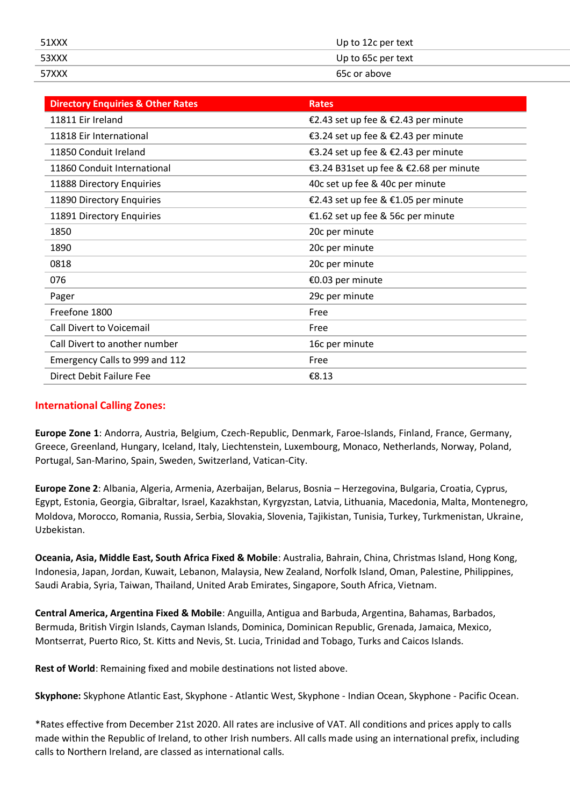| 51XXX | Up to 12c per text |
|-------|--------------------|
| 53XXX | Up to 65c per text |
| 57XXX | 65c or above       |

| <b>Directory Enquiries &amp; Other Rates</b> | <b>Rates</b>                           |
|----------------------------------------------|----------------------------------------|
| 11811 Eir Ireland                            | €2.43 set up fee & €2.43 per minute    |
| 11818 Eir International                      | €3.24 set up fee & €2.43 per minute    |
| 11850 Conduit Ireland                        | €3.24 set up fee & €2.43 per minute    |
| 11860 Conduit International                  | €3.24 B31set up fee & €2.68 per minute |
| 11888 Directory Enquiries                    | 40c set up fee & 40c per minute        |
| 11890 Directory Enquiries                    | €2.43 set up fee & €1.05 per minute    |
| 11891 Directory Enquiries                    | €1.62 set up fee & 56c per minute      |
| 1850                                         | 20c per minute                         |
| 1890                                         | 20c per minute                         |
| 0818                                         | 20c per minute                         |
| 076                                          | €0.03 per minute                       |
| Pager                                        | 29c per minute                         |
| Freefone 1800                                | Free                                   |
| Call Divert to Voicemail                     | Free                                   |
| Call Divert to another number                | 16c per minute                         |
| Emergency Calls to 999 and 112               | Free                                   |
| Direct Debit Failure Fee                     | €8.13                                  |

#### **International Calling Zones:**

**Europe Zone 1**: Andorra, Austria, Belgium, Czech-Republic, Denmark, Faroe-Islands, Finland, France, Germany, Greece, Greenland, Hungary, Iceland, Italy, Liechtenstein, Luxembourg, Monaco, Netherlands, Norway, Poland, Portugal, San-Marino, Spain, Sweden, Switzerland, Vatican-City.

**Europe Zone 2**: Albania, Algeria, Armenia, Azerbaijan, Belarus, Bosnia – Herzegovina, Bulgaria, Croatia, Cyprus, Egypt, Estonia, Georgia, Gibraltar, Israel, Kazakhstan, Kyrgyzstan, Latvia, Lithuania, Macedonia, Malta, Montenegro, Moldova, Morocco, Romania, Russia, Serbia, Slovakia, Slovenia, Tajikistan, Tunisia, Turkey, Turkmenistan, Ukraine, Uzbekistan.

**Oceania, Asia, Middle East, South Africa Fixed & Mobile**: Australia, Bahrain, China, Christmas Island, Hong Kong, Indonesia, Japan, Jordan, Kuwait, Lebanon, Malaysia, New Zealand, Norfolk Island, Oman, Palestine, Philippines, Saudi Arabia, Syria, Taiwan, Thailand, United Arab Emirates, Singapore, South Africa, Vietnam.

**Central America, Argentina Fixed & Mobile**: Anguilla, Antigua and Barbuda, Argentina, Bahamas, Barbados, Bermuda, British Virgin Islands, Cayman Islands, Dominica, Dominican Republic, Grenada, Jamaica, Mexico, Montserrat, Puerto Rico, St. Kitts and Nevis, St. Lucia, Trinidad and Tobago, Turks and Caicos Islands.

**Rest of World**: Remaining fixed and mobile destinations not listed above.

**Skyphone:** Skyphone Atlantic East, Skyphone - Atlantic West, Skyphone - Indian Ocean, Skyphone - Pacific Ocean.

\*Rates effective from December 21st 2020. All rates are inclusive of VAT. All conditions and prices apply to calls made within the Republic of Ireland, to other Irish numbers. All calls made using an international prefix, including calls to Northern Ireland, are classed as international calls.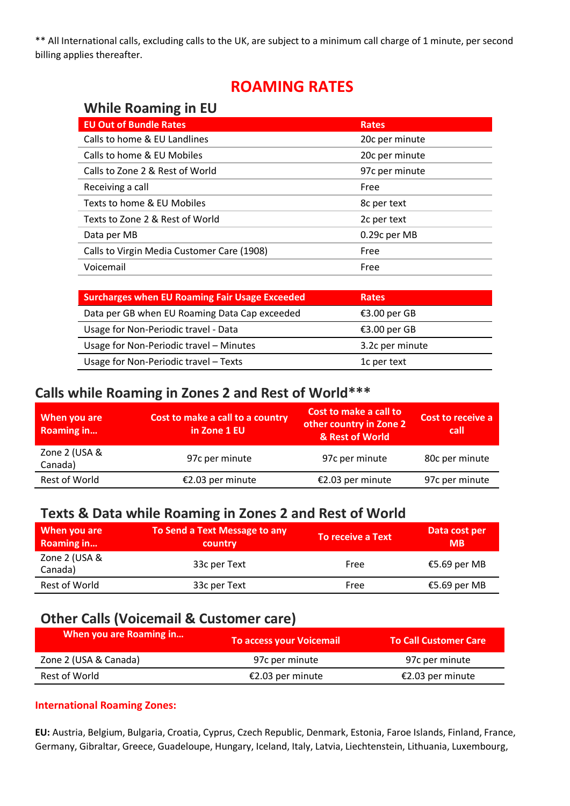\*\* All International calls, excluding calls to the UK, are subject to a minimum call charge of 1 minute, per second billing applies thereafter.

# **ROAMING RATES**

## **While Roaming in EU**

| <b>EU Out of Bundle Rates</b>              | <b>Rates</b>   |
|--------------------------------------------|----------------|
| Calls to home & EU Landlines               | 20c per minute |
| Calls to home & EU Mobiles                 | 20c per minute |
| Calls to Zone 2 & Rest of World            | 97c per minute |
| Receiving a call                           | Free           |
| Texts to home & EU Mobiles                 | 8c per text    |
| Texts to Zone 2 & Rest of World            | 2c per text    |
| Data per MB                                | 0.29c per MB   |
| Calls to Virgin Media Customer Care (1908) | Free           |
| Voicemail                                  | Free           |

| <b>Surcharges when EU Roaming Fair Usage Exceeded</b> | Rates           |
|-------------------------------------------------------|-----------------|
| Data per GB when EU Roaming Data Cap exceeded         | €3.00 per GB    |
| Usage for Non-Periodic travel - Data                  | €3.00 per GB    |
| Usage for Non-Periodic travel - Minutes               | 3.2c per minute |
| Usage for Non-Periodic travel - Texts                 | 1c per text     |

### **Calls while Roaming in Zones 2 and Rest of World\*\*\***

| When you are<br><b>Roaming in</b> | Cost to make a call to a country<br>in Zone 1 EU | Cost to make a call to<br>other country in Zone 2<br>& Rest of World | Cost to receive a<br>call |
|-----------------------------------|--------------------------------------------------|----------------------------------------------------------------------|---------------------------|
| Zone 2 (USA &<br>Canada)          | 97c per minute                                   | 97c per minute                                                       | 80c per minute            |
| Rest of World                     | €2.03 per minute                                 | €2.03 per minute                                                     | 97c per minute            |

# **Texts & Data while Roaming in Zones 2 and Rest of World**

| When you are<br><b>Roaming in</b> | To Send a Text Message to any<br>country | To receive a Text | Data cost per<br><b>MB</b> |
|-----------------------------------|------------------------------------------|-------------------|----------------------------|
| Zone 2 (USA &<br>Canada)          | 33c per Text                             | Free              | €5.69 per MB               |
| Rest of World                     | 33c per Text                             | Free              | €5.69 per MB               |

## **Other Calls (Voicemail & Customer care)**

| When you are Roaming in | To access your Voicemail | <b>To Call Customer Care</b> |
|-------------------------|--------------------------|------------------------------|
| Zone 2 (USA & Canada)   | 97c per minute           | 97c per minute               |
| Rest of World           | €2.03 per minute         | €2.03 per minute             |

#### **International Roaming Zones:**

**EU:** Austria, Belgium, Bulgaria, Croatia, Cyprus, Czech Republic, Denmark, Estonia, Faroe Islands, Finland, France, Germany, Gibraltar, Greece, Guadeloupe, Hungary, Iceland, Italy, Latvia, Liechtenstein, Lithuania, Luxembourg,